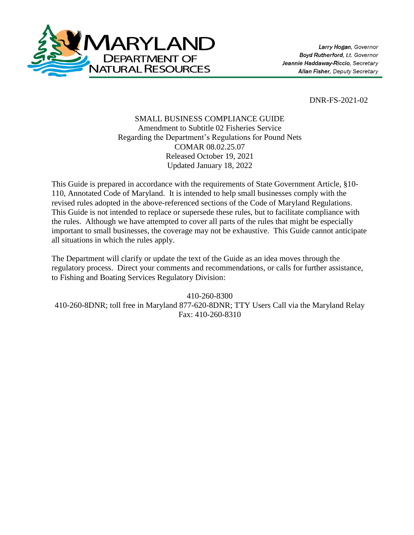

DNR-FS-2021-02

# SMALL BUSINESS COMPLIANCE GUIDE Amendment to Subtitle 02 Fisheries Service Regarding the Department's Regulations for Pound Nets COMAR 08.02.25.07 Released October 19, 2021 Updated January 18, 2022

This Guide is prepared in accordance with the requirements of State Government Article, §10- 110, Annotated Code of Maryland. It is intended to help small businesses comply with the revised rules adopted in the above-referenced sections of the Code of Maryland Regulations. This Guide is not intended to replace or supersede these rules, but to facilitate compliance with the rules. Although we have attempted to cover all parts of the rules that might be especially important to small businesses, the coverage may not be exhaustive. This Guide cannot anticipate all situations in which the rules apply.

The Department will clarify or update the text of the Guide as an idea moves through the regulatory process. Direct your comments and recommendations, or calls for further assistance, to Fishing and Boating Services Regulatory Division:

410-260-8300 410-260-8DNR; toll free in Maryland 877-620-8DNR; TTY Users Call via the Maryland Relay Fax: 410-260-8310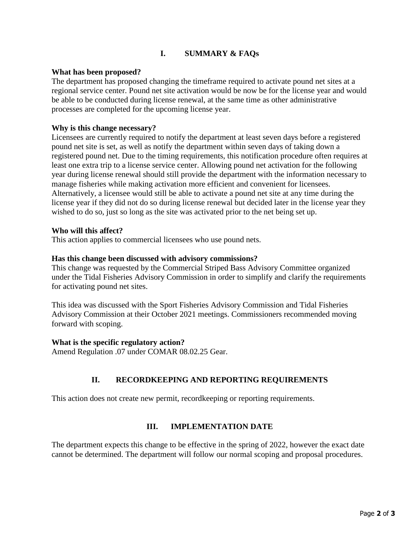# **I. SUMMARY & FAQs**

### **What has been proposed?**

The department has proposed changing the timeframe required to activate pound net sites at a regional service center. Pound net site activation would be now be for the license year and would be able to be conducted during license renewal, at the same time as other administrative processes are completed for the upcoming license year.

### **Why is this change necessary?**

Licensees are currently required to notify the department at least seven days before a registered pound net site is set, as well as notify the department within seven days of taking down a registered pound net. Due to the timing requirements, this notification procedure often requires at least one extra trip to a license service center. Allowing pound net activation for the following year during license renewal should still provide the department with the information necessary to manage fisheries while making activation more efficient and convenient for licensees. Alternatively, a licensee would still be able to activate a pound net site at any time during the license year if they did not do so during license renewal but decided later in the license year they wished to do so, just so long as the site was activated prior to the net being set up.

### **Who will this affect?**

This action applies to commercial licensees who use pound nets.

### **Has this change been discussed with advisory commissions?**

This change was requested by the Commercial Striped Bass Advisory Committee organized under the Tidal Fisheries Advisory Commission in order to simplify and clarify the requirements for activating pound net sites.

This idea was discussed with the Sport Fisheries Advisory Commission and Tidal Fisheries Advisory Commission at their October 2021 meetings. Commissioners recommended moving forward with scoping.

### **What is the specific regulatory action?**

Amend Regulation .07 under COMAR 08.02.25 Gear.

# **II. RECORDKEEPING AND REPORTING REQUIREMENTS**

This action does not create new permit, recordkeeping or reporting requirements.

### **III. IMPLEMENTATION DATE**

The department expects this change to be effective in the spring of 2022, however the exact date cannot be determined. The department will follow our normal scoping and proposal procedures.